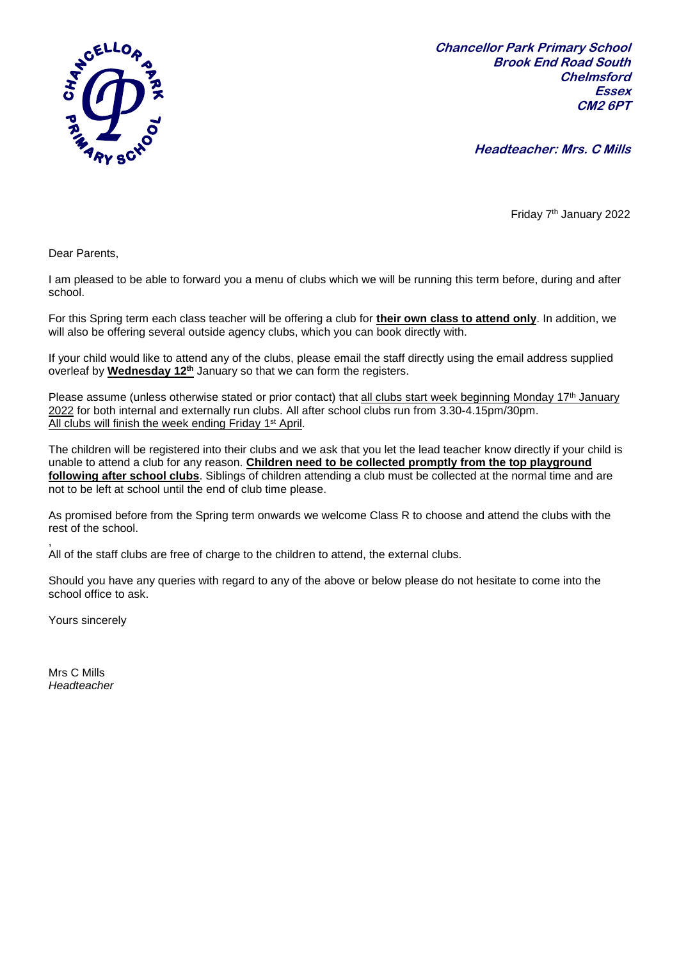

**Chancellor Park Primary School Brook End Road South Chelmsford Essex CM2 6PT**

**Headteacher: Mrs. C Mills**

Friday 7<sup>th</sup> January 2022

Dear Parents,

I am pleased to be able to forward you a menu of clubs which we will be running this term before, during and after school.

For this Spring term each class teacher will be offering a club for **their own class to attend only**. In addition, we will also be offering several outside agency clubs, which you can book directly with.

If your child would like to attend any of the clubs, please email the staff directly using the email address supplied overleaf by **Wednesday 12 th** January so that we can form the registers.

Please assume (unless otherwise stated or prior contact) that all clubs start week beginning Monday 17<sup>th</sup> January 2022 for both internal and externally run clubs. All after school clubs run from 3.30-4.15pm/30pm. All clubs will finish the week ending Friday 1<sup>st</sup> April.

The children will be registered into their clubs and we ask that you let the lead teacher know directly if your child is unable to attend a club for any reason. **Children need to be collected promptly from the top playground following after school clubs**. Siblings of children attending a club must be collected at the normal time and are not to be left at school until the end of club time please.

As promised before from the Spring term onwards we welcome Class R to choose and attend the clubs with the rest of the school.

, All of the staff clubs are free of charge to the children to attend, the external clubs.

Should you have any queries with regard to any of the above or below please do not hesitate to come into the school office to ask.

Yours sincerely

Mrs C Mills *Headteacher*